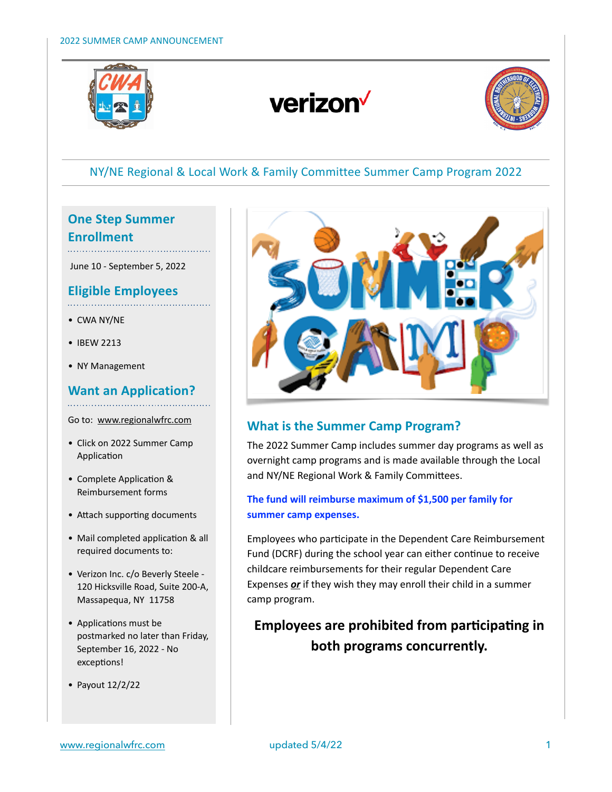

# verizon<sup>V</sup>



# NY/NE Regional & Local Work & Family Committee Summer Camp Program 2022

# **One Step Summer Enrollment**

June 10 - September 5, 2022

# **Eligible Employees**

- CWA NY/NE
- IBEW 2213
- NY Management

# **Want an Application?**

Go to: www.regionalwfrc.com

- Click on 2022 Summer Camp Application
- Complete Application & Reimbursement forms
- Attach supporting documents
- Mail completed application & all required documents to:
- Verizon Inc. c/o Beverly Steele 120 Hicksville Road, Suite 200-A, Massapequa, NY 11758
- Applications must be postmarked no later than Friday, September 16, 2022 - No exceptions!
- Payout 12/2/22



### **What is the Summer Camp Program?**

The 2022 Summer Camp includes summer day programs as well as overnight camp programs and is made available through the Local and NY/NE Regional Work & Family Committees.

### **The fund will reimburse maximum of \$1,500 per family for summer camp expenses.**

Employees who participate in the Dependent Care Reimbursement Fund (DCRF) during the school year can either continue to receive childcare reimbursements for their regular Dependent Care Expenses *or* if they wish they may enroll their child in a summer camp program.

# **Employees are prohibited from participating in both programs concurrently.**